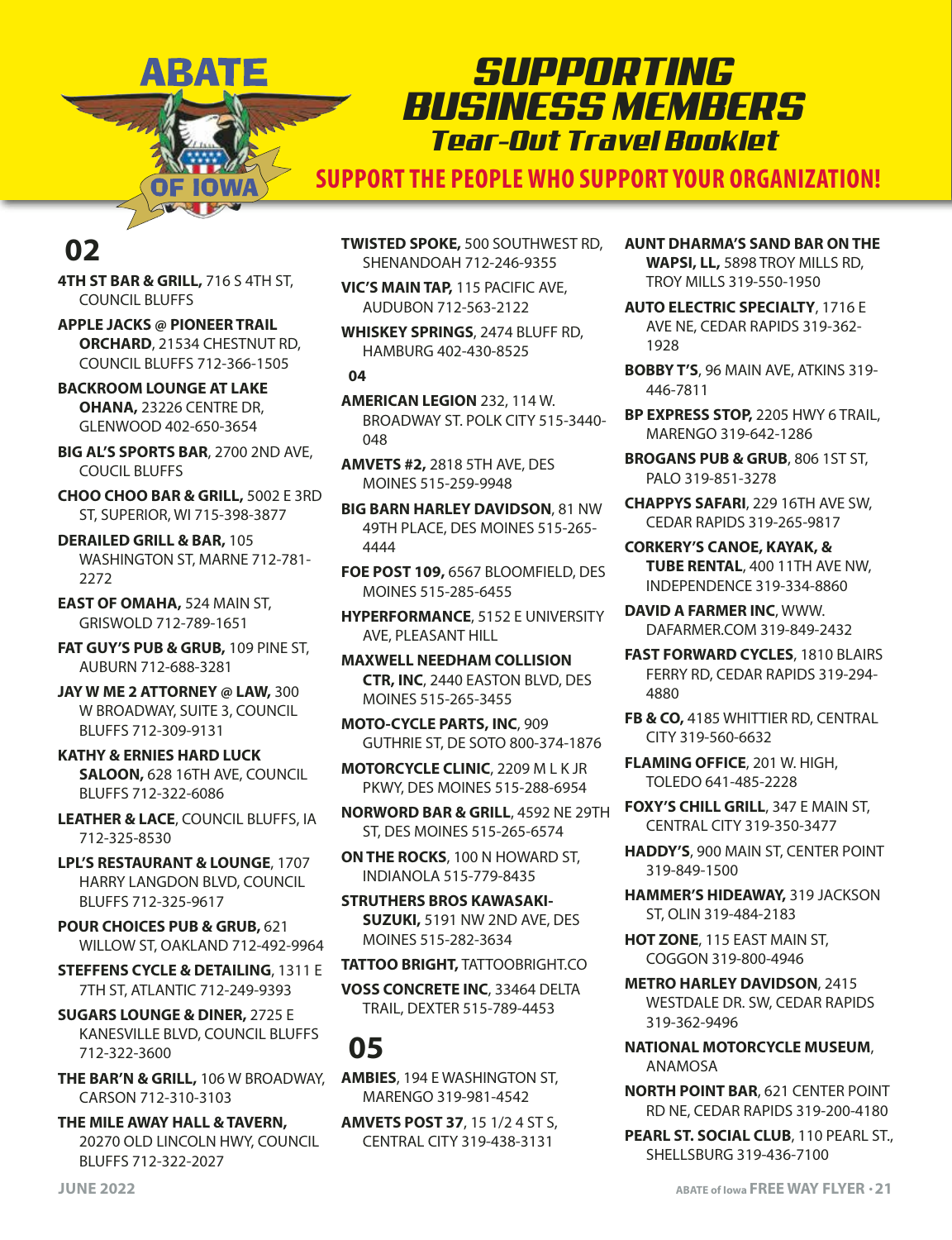### *SUPPORTING BUSINESS MEMBERS Tear-Out Travel Booklet*

**SUPPORT THE PEOPLE WHO SUPPORT YOUR ORGANIZATION!**

### **02**

**4TH ST BAR & GRILL,** 716 S 4TH ST, COUNCIL BLUFFS

ARATE

IOWA

**APPLE JACKS @ PIONEER TRAIL ORCHARD**, 21534 CHESTNUT RD, COUNCIL BLUFFS 712-366-1505

**BACKROOM LOUNGE AT LAKE OHANA,** 23226 CENTRE DR, GLENWOOD 402-650-3654

**BIG AL'S SPORTS BAR**, 2700 2ND AVE, COUCIL BLUFFS

**CHOO CHOO BAR & GRILL,** 5002 E 3RD ST, SUPERIOR, WI 715-398-3877

**DERAILED GRILL & BAR,** 105 WASHINGTON ST, MARNE 712-781- 2272

**EAST OF OMAHA,** 524 MAIN ST, GRISWOLD 712-789-1651

**FAT GUY'S PUB & GRUB,** 109 PINE ST, AUBURN 712-688-3281

**JAY W ME 2 ATTORNEY @ LAW,** 300 W BROADWAY, SUITE 3, COUNCIL BLUFFS 712-309-9131

**KATHY & ERNIES HARD LUCK SALOON,** 628 16TH AVE, COUNCIL BLUFFS 712-322-6086

**LEATHER & LACE**, COUNCIL BLUFFS, IA 712-325-8530

**LPL'S RESTAURANT & LOUNGE**, 1707 HARRY LANGDON BLVD, COUNCIL BLUFFS 712-325-9617

**POUR CHOICES PUB & GRUB,** 621 WILLOW ST, OAKLAND 712-492-9964

**STEFFENS CYCLE & DETAILING**, 1311 E 7TH ST, ATLANTIC 712-249-9393

**SUGARS LOUNGE & DINER,** 2725 E KANESVILLE BLVD, COUNCIL BLUFFS 712-322-3600

**THE BAR'N & GRILL,** 106 W BROADWAY, CARSON 712-310-3103

**THE MILE AWAY HALL & TAVERN,** 20270 OLD LINCOLN HWY, COUNCIL BLUFFS 712-322-2027

**TWISTED SPOKE,** 500 SOUTHWEST RD, SHENANDOAH 712-246-9355

**VIC'S MAIN TAP,** 115 PACIFIC AVE, AUDUBON 712-563-2122

**WHISKEY SPRINGS**, 2474 BLUFF RD, HAMBURG 402-430-8525

**04**

**AMERICAN LEGION** 232, 114 W. BROADWAY ST. POLK CITY 515-3440- 048

**AMVETS #2,** 2818 5TH AVE, DES MOINES 515-259-9948

**BIG BARN HARLEY DAVIDSON**, 81 NW 49TH PLACE, DES MOINES 515-265- 4444

**FOE POST 109,** 6567 BLOOMFIELD, DES MOINES 515-285-6455

**HYPERFORMANCE**, 5152 E UNIVERSITY AVE, PLEASANT HILL

**MAXWELL NEEDHAM COLLISION CTR, INC**, 2440 EASTON BLVD, DES MOINES 515-265-3455

**MOTO-CYCLE PARTS, INC**, 909 GUTHRIE ST, DE SOTO 800-374-1876

**MOTORCYCLE CLINIC**, 2209 M L K JR PKWY, DES MOINES 515-288-6954

**NORWORD BAR & GRILL**, 4592 NE 29TH ST, DES MOINES 515-265-6574

**ON THE ROCKS**, 100 N HOWARD ST, INDIANOLA 515-779-8435

**STRUTHERS BROS KAWASAKI-SUZUKI,** 5191 NW 2ND AVE, DES MOINES 515-282-3634

**TATTOO BRIGHT,** TATTOOBRIGHT.CO

**VOSS CONCRETE INC**, 33464 DELTA TRAIL, DEXTER 515-789-4453

# **05**

**AMBIES**, 194 E WASHINGTON ST, MARENGO 319-981-4542

**AMVETS POST 37**, 15 1/2 4 ST S, CENTRAL CITY 319-438-3131

- **AUNT DHARMA'S SAND BAR ON THE WAPSI, LL,** 5898 TROY MILLS RD, TROY MILLS 319-550-1950
- **AUTO ELECTRIC SPECIALTY**, 1716 E AVE NE, CEDAR RAPIDS 319-362- 1928
- **BOBBY T'S**, 96 MAIN AVE, ATKINS 319- 446-7811

**BP EXPRESS STOP,** 2205 HWY 6 TRAIL, MARENGO 319-642-1286

**BROGANS PUB & GRUB**, 806 1ST ST, PALO 319-851-3278

**CHAPPYS SAFARI**, 229 16TH AVE SW, CEDAR RAPIDS 319-265-9817

**CORKERY'S CANOE, KAYAK, & TUBE RENTAL**, 400 11TH AVE NW, INDEPENDENCE 319-334-8860

**DAVID A FARMER INC**, WWW. DAFARMER.COM 319-849-2432

- **FAST FORWARD CYCLES**, 1810 BLAIRS FERRY RD, CEDAR RAPIDS 319-294- 4880
- **FB & CO,** 4185 WHITTIER RD, CENTRAL CITY 319-560-6632

**FLAMING OFFICE**, 201 W. HIGH, TOLEDO 641-485-2228

**FOXY'S CHILL GRILL**, 347 E MAIN ST, CENTRAL CITY 319-350-3477

- **HADDY'S**, 900 MAIN ST, CENTER POINT 319-849-1500
- **HAMMER'S HIDEAWAY,** 319 JACKSON ST, OLIN 319-484-2183

**HOT ZONE**, 115 EAST MAIN ST, COGGON 319-800-4946

**METRO HARLEY DAVIDSON**, 2415 WESTDALE DR. SW, CEDAR RAPIDS 319-362-9496

**NATIONAL MOTORCYCLE MUSEUM**, ANAMOSA

**NORTH POINT BAR**, 621 CENTER POINT RD NE, CEDAR RAPIDS 319-200-4180

PEARL ST. SOCIAL CLUB, 110 PEARL ST., SHELLSBURG 319-436-7100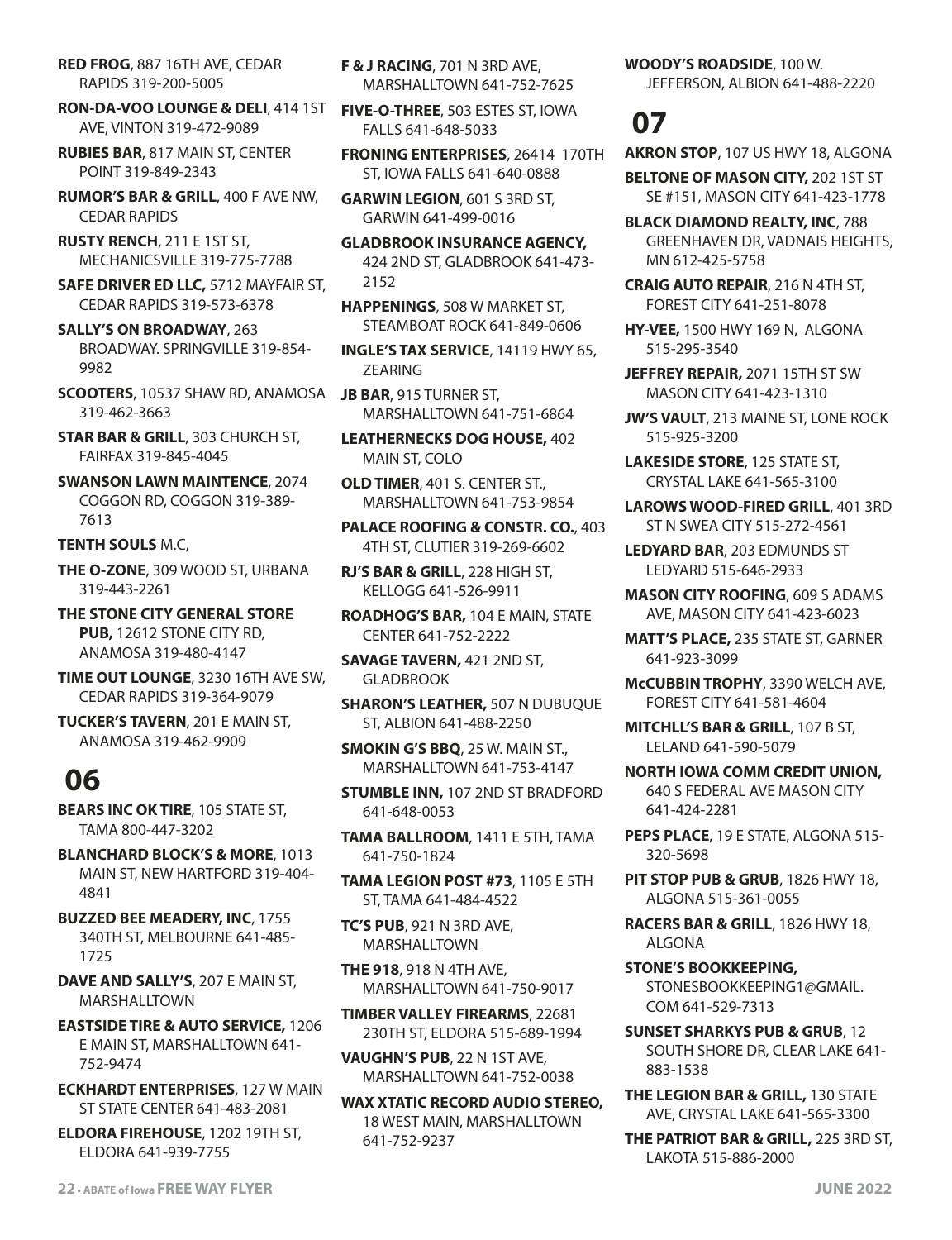**RED FROG**, 887 16TH AVE, CEDAR RAPIDS 319-200-5005

**RON-DA-VOO LOUNGE & DELI**, 414 1ST AVE, VINTON 319-472-9089

**RUBIES BAR**, 817 MAIN ST, CENTER POINT 319-849-2343

**RUMOR'S BAR & GRILL**, 400 F AVE NW, CEDAR RAPIDS

**RUSTY RENCH**, 211 E 1ST ST, MECHANICSVILLE 319-775-7788

**SAFE DRIVER ED LLC,** 5712 MAYFAIR ST, CEDAR RAPIDS 319-573-6378

**SALLY'S ON BROADWAY**, 263 BROADWAY. SPRINGVILLE 319-854- 9982

**SCOOTERS**, 10537 SHAW RD, ANAMOSA 319-462-3663

**STAR BAR & GRILL**, 303 CHURCH ST, FAIRFAX 319-845-4045

**SWANSON LAWN MAINTENCE**, 2074 COGGON RD, COGGON 319-389- 7613

**TENTH SOULS** M.C,

**THE O-ZONE**, 309 WOOD ST, URBANA 319-443-2261

**THE STONE CITY GENERAL STORE PUB,** 12612 STONE CITY RD, ANAMOSA 319-480-4147

**TIME OUT LOUNGE**, 3230 16TH AVE SW, CEDAR RAPIDS 319-364-9079

**TUCKER'S TAVERN**, 201 E MAIN ST, ANAMOSA 319-462-9909

### **06**

**BEARS INC OK TIRE**, 105 STATE ST, TAMA 800-447-3202

**BLANCHARD BLOCK'S & MORE**, 1013 MAIN ST, NEW HARTFORD 319-404- 4841

**BUZZED BEE MEADERY, INC**, 1755 340TH ST, MELBOURNE 641-485- 1725

**DAVE AND SALLY'S**, 207 E MAIN ST, MARSHALLTOWN

**EASTSIDE TIRE & AUTO SERVICE,** 1206 E MAIN ST, MARSHALLTOWN 641- 752-9474

**ECKHARDT ENTERPRISES**, 127 W MAIN ST STATE CENTER 641-483-2081

**ELDORA FIREHOUSE**, 1202 19TH ST, ELDORA 641-939-7755

**F & J RACING**, 701 N 3RD AVE, MARSHALLTOWN 641-752-7625

**FIVE-O-THREE**, 503 ESTES ST, IOWA FALLS 641-648-5033

**FRONING ENTERPRISES**, 26414 170TH ST, IOWA FALLS 641-640-0888

**GARWIN LEGION**, 601 S 3RD ST, GARWIN 641-499-0016

**GLADBROOK INSURANCE AGENCY,** 424 2ND ST, GLADBROOK 641-473- 2152

**HAPPENINGS**, 508 W MARKET ST, STEAMBOAT ROCK 641-849-0606

**INGLE'S TAX SERVICE**, 14119 HWY 65, ZEARING

**JB BAR**, 915 TURNER ST, MARSHALLTOWN 641-751-6864

**LEATHERNECKS DOG HOUSE,** 402 MAIN ST, COLO

**OLD TIMER**, 401 S. CENTER ST., MARSHALLTOWN 641-753-9854

**PALACE ROOFING & CONSTR. CO.**, 403 4TH ST, CLUTIER 319-269-6602

**RJ'S BAR & GRILL**, 228 HIGH ST, KELLOGG 641-526-9911

**ROADHOG'S BAR,** 104 E MAIN, STATE CENTER 641-752-2222

**SAVAGE TAVERN,** 421 2ND ST, **GLADBROOK** 

**SHARON'S LEATHER,** 507 N DUBUQUE ST, ALBION 641-488-2250

**SMOKIN G'S BBQ**, 25 W. MAIN ST., MARSHALLTOWN 641-753-4147

**STUMBLE INN,** 107 2ND ST BRADFORD 641-648-0053

**TAMA BALLROOM**, 1411 E 5TH, TAMA 641-750-1824

**TAMA LEGION POST #73**, 1105 E 5TH ST, TAMA 641-484-4522

**TC'S PUB**, 921 N 3RD AVE, MARSHALLTOWN

**THE 918**, 918 N 4TH AVE, MARSHALLTOWN 641-750-9017

**TIMBER VALLEY FIREARMS**, 22681 230TH ST, ELDORA 515-689-1994

**VAUGHN'S PUB**, 22 N 1ST AVE, MARSHALLTOWN 641-752-0038

**WAX XTATIC RECORD AUDIO STEREO,** 18 WEST MAIN, MARSHALLTOWN 641-752-9237

**WOODY'S ROADSIDE**, 100 W.

JEFFERSON, ALBION 641-488-2220

# **07**

**AKRON STOP**, 107 US HWY 18, ALGONA

**BELTONE OF MASON CITY,** 202 1ST ST SE #151, MASON CITY 641-423-1778

**BLACK DIAMOND REALTY, INC**, 788 GREENHAVEN DR, VADNAIS HEIGHTS, MN 612-425-5758

**CRAIG AUTO REPAIR**, 216 N 4TH ST, FOREST CITY 641-251-8078

**HY-VEE,** 1500 HWY 169 N, ALGONA 515-295-3540

**JEFFREY REPAIR,** 2071 15TH ST SW MASON CITY 641-423-1310

**JW'S VAULT**, 213 MAINE ST, LONE ROCK 515-925-3200

**LAKESIDE STORE**, 125 STATE ST, CRYSTAL LAKE 641-565-3100

**LAROWS WOOD-FIRED GRILL**, 401 3RD ST N SWEA CITY 515-272-4561

**LEDYARD BAR**, 203 EDMUNDS ST LEDYARD 515-646-2933

**MASON CITY ROOFING**, 609 S ADAMS AVE, MASON CITY 641-423-6023

**MATT'S PLACE,** 235 STATE ST, GARNER 641-923-3099

**McCUBBIN TROPHY**, 3390 WELCH AVE, FOREST CITY 641-581-4604

**MITCHLL'S BAR & GRILL**, 107 B ST, LELAND 641-590-5079

**NORTH IOWA COMM CREDIT UNION,** 640 S FEDERAL AVE MASON CITY 641-424-2281

**PEPS PLACE**, 19 E STATE, ALGONA 515- 320-5698

**PIT STOP PUB & GRUB**, 1826 HWY 18, ALGONA 515-361-0055

**RACERS BAR & GRILL**, 1826 HWY 18, ALGONA

**STONE'S BOOKKEEPING,** STONESBOOKKEEPING1@GMAIL. COM 641-529-7313

**SUNSET SHARKYS PUB & GRUB**, 12 SOUTH SHORE DR, CLEAR LAKE 641- 883-1538

**THE LEGION BAR & GRILL,** 130 STATE AVE, CRYSTAL LAKE 641-565-3300

**THE PATRIOT BAR & GRILL,** 225 3RD ST, LAKOTA 515-886-2000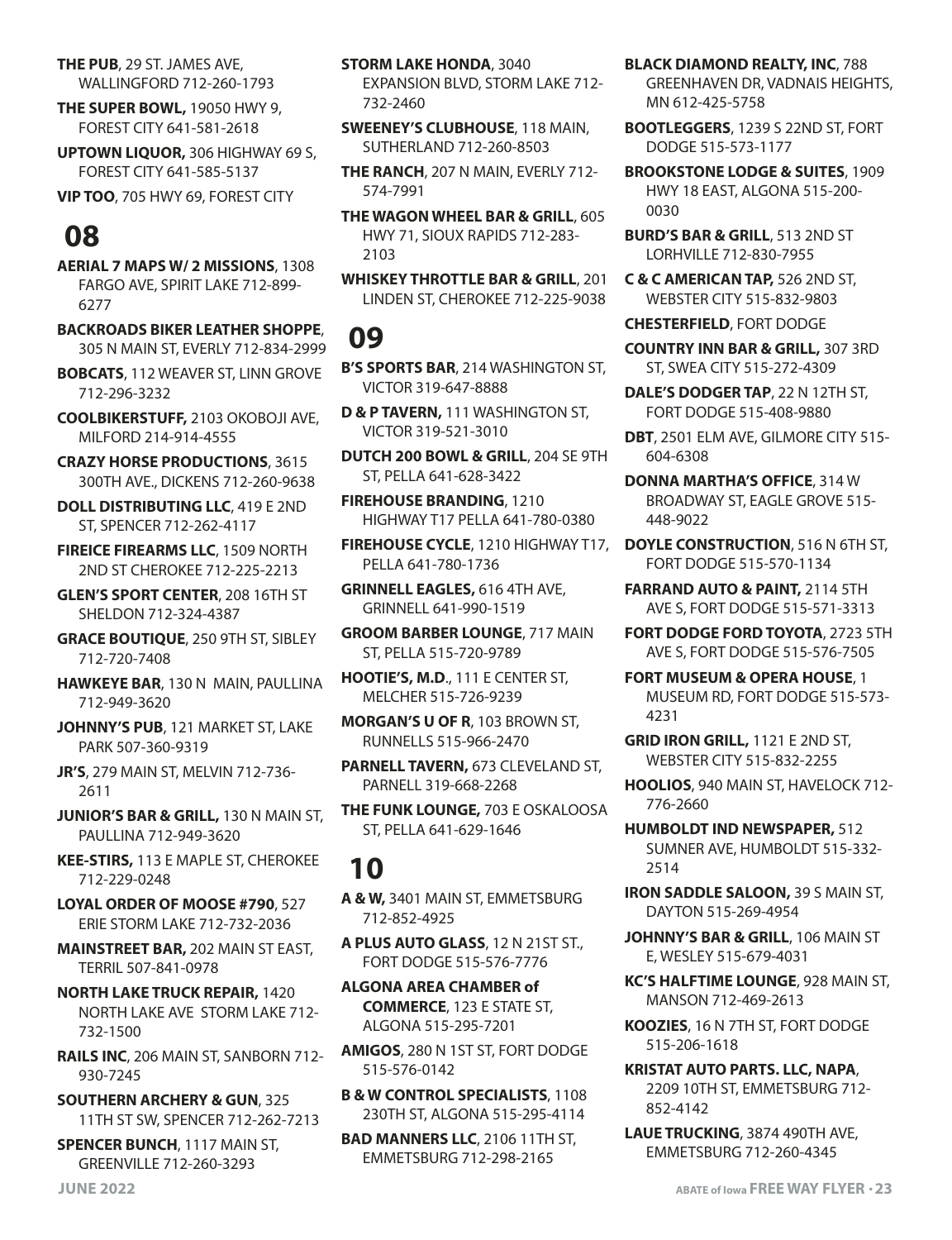**THE PUB**, 29 ST. JAMES AVE, WALLINGFORD 712-260-1793

**THE SUPER BOWL,** 19050 HWY 9, FOREST CITY 641-581-2618

**UPTOWN LIQUOR,** 306 HIGHWAY 69 S, FOREST CITY 641-585-5137

**VIP TOO**, 705 HWY 69, FOREST CITY

# **08**

**AERIAL 7 MAPS W/ 2 MISSIONS**, 1308 FARGO AVE, SPIRIT LAKE 712-899- 6277

**BACKROADS BIKER LEATHER SHOPPE**, 305 N MAIN ST, EVERLY 712-834-2999

**BOBCATS**, 112 WEAVER ST, LINN GROVE 712-296-3232

**COOLBIKERSTUFF,** 2103 OKOBOJI AVE, MILFORD 214-914-4555

**CRAZY HORSE PRODUCTIONS**, 3615 300TH AVE., DICKENS 712-260-9638

**DOLL DISTRIBUTING LLC**, 419 E 2ND ST, SPENCER 712-262-4117

**FIREICE FIREARMS LLC**, 1509 NORTH 2ND ST CHEROKEE 712-225-2213

**GLEN'S SPORT CENTER**, 208 16TH ST SHELDON 712-324-4387

**GRACE BOUTIQUE**, 250 9TH ST, SIBLEY 712-720-7408

**HAWKEYE BAR**, 130 N MAIN, PAULLINA 712-949-3620

**JOHNNY'S PUB**, 121 MARKET ST, LAKE PARK 507-360-9319

**JR'S**, 279 MAIN ST, MELVIN 712-736- 2611

**JUNIOR'S BAR & GRILL,** 130 N MAIN ST, PAULLINA 712-949-3620

**KEE-STIRS,** 113 E MAPLE ST, CHEROKEE 712-229-0248

**LOYAL ORDER OF MOOSE #790**, 527 ERIE STORM LAKE 712-732-2036

**MAINSTREET BAR,** 202 MAIN ST EAST, TERRIL 507-841-0978

**NORTH LAKE TRUCK REPAIR,** 1420 NORTH LAKE AVE STORM LAKE 712- 732-1500

**RAILS INC**, 206 MAIN ST, SANBORN 712- 930-7245

**SOUTHERN ARCHERY & GUN**, 325 11TH ST SW, SPENCER 712-262-7213

**SPENCER BUNCH**, 1117 MAIN ST, GREENVILLE 712-260-3293

**STORM LAKE HONDA**, 3040 EXPANSION BLVD, STORM LAKE 712- 732-2460

**SWEENEY'S CLUBHOUSE**, 118 MAIN, SUTHERLAND 712-260-8503

**THE RANCH**, 207 N MAIN, EVERLY 712- 574-7991

**THE WAGON WHEEL BAR & GRILL**, 605 HWY 71, SIOUX RAPIDS 712-283- 2103

**WHISKEY THROTTLE BAR & GRILL**, 201 LINDEN ST, CHEROKEE 712-225-9038

### **09**

**B'S SPORTS BAR**, 214 WASHINGTON ST, VICTOR 319-647-8888

**D & P TAVERN,** 111 WASHINGTON ST, VICTOR 319-521-3010

**DUTCH 200 BOWL & GRILL**, 204 SE 9TH ST, PELLA 641-628-3422

**FIREHOUSE BRANDING**, 1210 HIGHWAY T17 PELLA 641-780-0380

**FIREHOUSE CYCLE**, 1210 HIGHWAY T17, PELLA 641-780-1736

**GRINNELL EAGLES,** 616 4TH AVE, GRINNELL 641-990-1519

**GROOM BARBER LOUNGE**, 717 MAIN ST, PELLA 515-720-9789

**HOOTIE'S, M.D**., 111 E CENTER ST, MELCHER 515-726-9239

**MORGAN'S U OF R**, 103 BROWN ST, RUNNELLS 515-966-2470

**PARNELL TAVERN,** 673 CLEVELAND ST, PARNELL 319-668-2268

**THE FUNK LOUNGE,** 703 E OSKALOOSA ST, PELLA 641-629-1646

### **10**

**A & W,** 3401 MAIN ST, EMMETSBURG 712-852-4925

**A PLUS AUTO GLASS**, 12 N 21ST ST., FORT DODGE 515-576-7776

**ALGONA AREA CHAMBER of COMMERCE**, 123 E STATE ST, ALGONA 515-295-7201

**AMIGOS**, 280 N 1ST ST, FORT DODGE 515-576-0142

**B & W CONTROL SPECIALISTS**, 1108 230TH ST, ALGONA 515-295-4114

**BAD MANNERS LLC**, 2106 11TH ST, EMMETSBURG 712-298-2165

**BLACK DIAMOND REALTY, INC**, 788

GREENHAVEN DR, VADNAIS HEIGHTS, MN 612-425-5758

**BOOTLEGGERS**, 1239 S 22ND ST, FORT DODGE 515-573-1177

**BROOKSTONE LODGE & SUITES**, 1909 HWY 18 EAST, ALGONA 515-200- 0030

**BURD'S BAR & GRILL**, 513 2ND ST LORHVILLE 712-830-7955

**C & C AMERICAN TAP,** 526 2ND ST, WEBSTER CITY 515-832-9803

**CHESTERFIELD**, FORT DODGE

**COUNTRY INN BAR & GRILL,** 307 3RD ST, SWEA CITY 515-272-4309

**DALE'S DODGER TAP**, 22 N 12TH ST, FORT DODGE 515-408-9880

**DBT**, 2501 ELM AVE, GILMORE CITY 515- 604-6308

**DONNA MARTHA'S OFFICE**, 314 W BROADWAY ST, EAGLE GROVE 515- 448-9022

**DOYLE CONSTRUCTION**, 516 N 6TH ST, FORT DODGE 515-570-1134

**FARRAND AUTO & PAINT,** 2114 5TH AVE S, FORT DODGE 515-571-3313

**FORT DODGE FORD TOYOTA**, 2723 5TH AVE S, FORT DODGE 515-576-7505

**FORT MUSEUM & OPERA HOUSE**, 1 MUSEUM RD, FORT DODGE 515-573- 4231

**GRID IRON GRILL,** 1121 E 2ND ST, WEBSTER CITY 515-832-2255

**HOOLIOS**, 940 MAIN ST, HAVELOCK 712- 776-2660

**HUMBOLDT IND NEWSPAPER,** 512 SUMNER AVE, HUMBOLDT 515-332- 2514

**IRON SADDLE SALOON,** 39 S MAIN ST, DAYTON 515-269-4954

**JOHNNY'S BAR & GRILL**, 106 MAIN ST E, WESLEY 515-679-4031

**KC'S HALFTIME LOUNGE**, 928 MAIN ST, MANSON 712-469-2613

**KOOZIES**, 16 N 7TH ST, FORT DODGE 515-206-1618

**KRISTAT AUTO PARTS. LLC, NAPA**, 2209 10TH ST, EMMETSBURG 712- 852-4142

**LAUE TRUCKING**, 3874 490TH AVE, EMMETSBURG 712-260-4345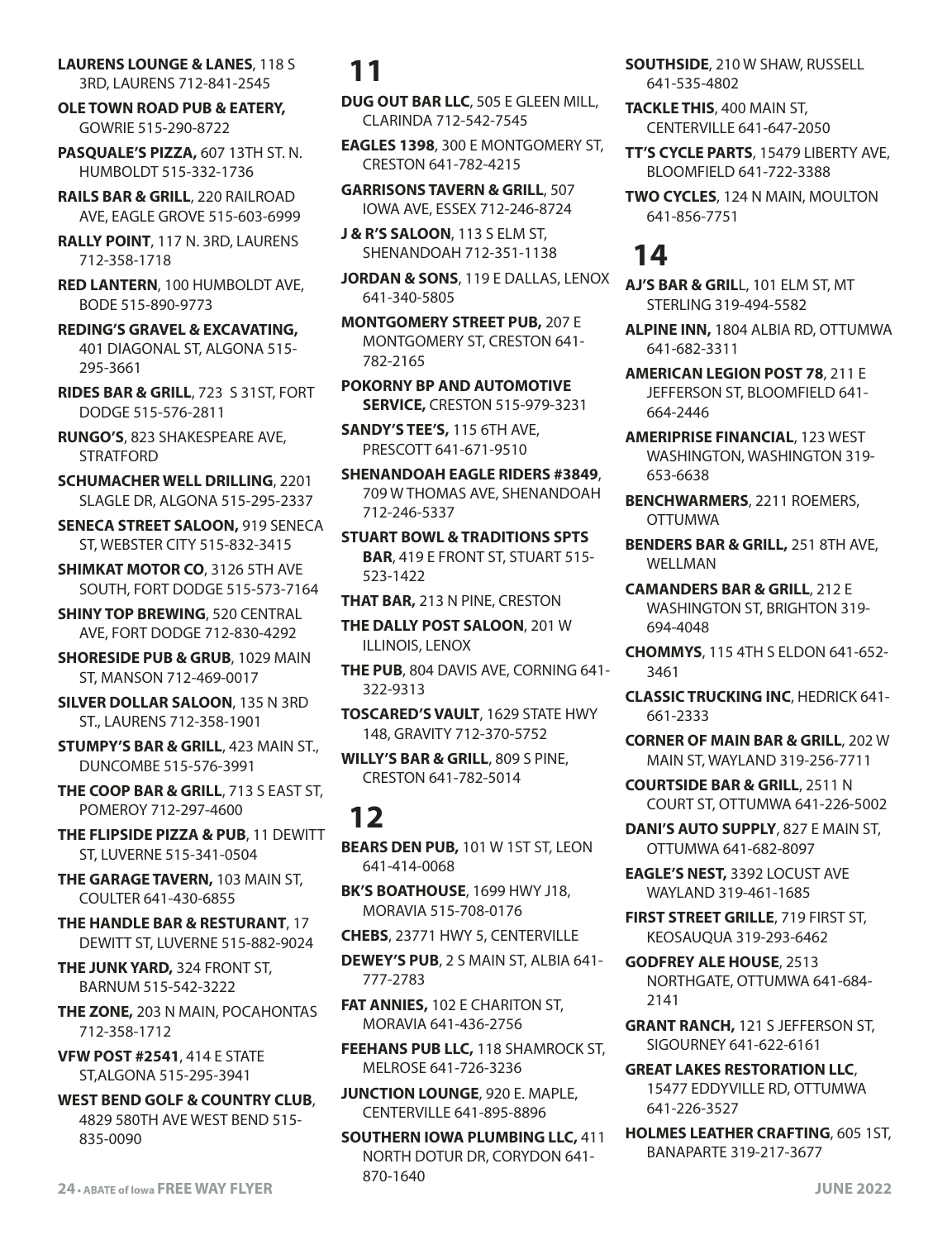**LAURENS LOUNGE & LANES**, 118 S 3RD, LAURENS 712-841-2545

**OLE TOWN ROAD PUB & EATERY,** GOWRIE 515-290-8722

**PASQUALE'S PIZZA,** 607 13TH ST. N. HUMBOLDT 515-332-1736

**RAILS BAR & GRILL**, 220 RAILROAD AVE, EAGLE GROVE 515-603-6999

**RALLY POINT**, 117 N. 3RD, LAURENS 712-358-1718

**RED LANTERN**, 100 HUMBOLDT AVE, BODE 515-890-9773

**REDING'S GRAVEL & EXCAVATING,** 401 DIAGONAL ST, ALGONA 515- 295-3661

**RIDES BAR & GRILL**, 723 S 31ST, FORT DODGE 515-576-2811

**RUNGO'S**, 823 SHAKESPEARE AVE, STRATFORD

**SCHUMACHER WELL DRILLING**, 2201 SLAGLE DR, ALGONA 515-295-2337

**SENECA STREET SALOON,** 919 SENECA ST, WEBSTER CITY 515-832-3415

**SHIMKAT MOTOR CO**, 3126 5TH AVE SOUTH, FORT DODGE 515-573-7164

**SHINY TOP BREWING**, 520 CENTRAL AVE, FORT DODGE 712-830-4292

**SHORESIDE PUB & GRUB**, 1029 MAIN ST, MANSON 712-469-0017

**SILVER DOLLAR SALOON**, 135 N 3RD ST., LAURENS 712-358-1901

**STUMPY'S BAR & GRILL**, 423 MAIN ST., DUNCOMBE 515-576-3991

**THE COOP BAR & GRILL**, 713 S EAST ST, POMEROY 712-297-4600

**THE FLIPSIDE PIZZA & PUB**, 11 DEWITT ST, LUVERNE 515-341-0504

**THE GARAGE TAVERN,** 103 MAIN ST, COULTER 641-430-6855

**THE HANDLE BAR & RESTURANT**, 17 DEWITT ST, LUVERNE 515-882-9024

**THE JUNK YARD,** 324 FRONT ST, BARNUM 515-542-3222

**THE ZONE,** 203 N MAIN, POCAHONTAS 712-358-1712

**VFW POST #2541**, 414 E STATE ST,ALGONA 515-295-3941

**WEST BEND GOLF & COUNTRY CLUB**, 4829 580TH AVE WEST BEND 515- 835-0090

# **11**

**DUG OUT BAR LLC**, 505 E GLEEN MILL, CLARINDA 712-542-7545

**EAGLES 1398**, 300 E MONTGOMERY ST, CRESTON 641-782-4215

**GARRISONS TAVERN & GRILL**, 507 IOWA AVE, ESSEX 712-246-8724

**J & R'S SALOON**, 113 S ELM ST, SHENANDOAH 712-351-1138

**JORDAN & SONS**, 119 E DALLAS, LENOX 641-340-5805

**MONTGOMERY STREET PUB,** 207 E MONTGOMERY ST, CRESTON 641- 782-2165

**POKORNY BP AND AUTOMOTIVE SERVICE,** CRESTON 515-979-3231

**SANDY'S TEE'S,** 115 6TH AVE, PRESCOTT 641-671-9510

**SHENANDOAH EAGLE RIDERS #3849**, 709 W THOMAS AVE, SHENANDOAH 712-246-5337

**STUART BOWL & TRADITIONS SPTS BAR**, 419 E FRONT ST, STUART 515- 523-1422

**THAT BAR,** 213 N PINE, CRESTON

**THE DALLY POST SALOON**, 201 W ILLINOIS, LENOX

**THE PUB**, 804 DAVIS AVE, CORNING 641- 322-9313

**TOSCARED'S VAULT**, 1629 STATE HWY 148, GRAVITY 712-370-5752

**WILLY'S BAR & GRILL**, 809 S PINE, CRESTON 641-782-5014

### **12**

**BEARS DEN PUB,** 101 W 1ST ST, LEON 641-414-0068

**BK'S BOATHOUSE**, 1699 HWY J18, MORAVIA 515-708-0176

**CHEBS**, 23771 HWY 5, CENTERVILLE

**DEWEY'S PUB**, 2 S MAIN ST, ALBIA 641- 777-2783

**FAT ANNIES,** 102 E CHARITON ST, MORAVIA 641-436-2756

**FEEHANS PUB LLC,** 118 SHAMROCK ST, MELROSE 641-726-3236

**JUNCTION LOUNGE**, 920 E. MAPLE, CENTERVILLE 641-895-8896

**SOUTHERN IOWA PLUMBING LLC,** 411 NORTH DOTUR DR, CORYDON 641- 870-1640

**SOUTHSIDE**, 210 W SHAW, RUSSELL 641-535-4802

**TACKLE THIS**, 400 MAIN ST, CENTERVILLE 641-647-2050

**TT'S CYCLE PARTS**, 15479 LIBERTY AVE, BLOOMFIELD 641-722-3388

**TWO CYCLES**, 124 N MAIN, MOULTON 641-856-7751

### **14**

**AJ'S BAR & GRIL**L, 101 ELM ST, MT STERLING 319-494-5582

**ALPINE INN,** 1804 ALBIA RD, OTTUMWA 641-682-3311

**AMERICAN LEGION POST 78**, 211 E JEFFERSON ST, BLOOMFIELD 641- 664-2446

**AMERIPRISE FINANCIAL**, 123 WEST WASHINGTON, WASHINGTON 319- 653-6638

- **BENCHWARMERS**, 2211 ROEMERS, OTTUMWA
- **BENDERS BAR & GRILL,** 251 8TH AVE, WELLMAN

**CAMANDERS BAR & GRILL**, 212 E WASHINGTON ST, BRIGHTON 319- 694-4048

**CHOMMYS**, 115 4TH S ELDON 641-652- 3461

**CLASSIC TRUCKING INC**, HEDRICK 641- 661-2333

**CORNER OF MAIN BAR & GRILL**, 202 W MAIN ST, WAYLAND 319-256-7711

**COURTSIDE BAR & GRILL**, 2511 N COURT ST, OTTUMWA 641-226-5002

**DANI'S AUTO SUPPLY**, 827 E MAIN ST, OTTUMWA 641-682-8097

**EAGLE'S NEST,** 3392 LOCUST AVE WAYLAND 319-461-1685

**FIRST STREET GRILLE**, 719 FIRST ST, KEOSAUQUA 319-293-6462

**GODFREY ALE HOUSE**, 2513 NORTHGATE, OTTUMWA 641-684- 2141

**GRANT RANCH,** 121 S JEFFERSON ST, SIGOURNEY 641-622-6161

**GREAT LAKES RESTORATION LLC**, 15477 EDDYVILLE RD, OTTUMWA 641-226-3527

**HOLMES LEATHER CRAFTING**, 605 1ST, BANAPARTE 319-217-3677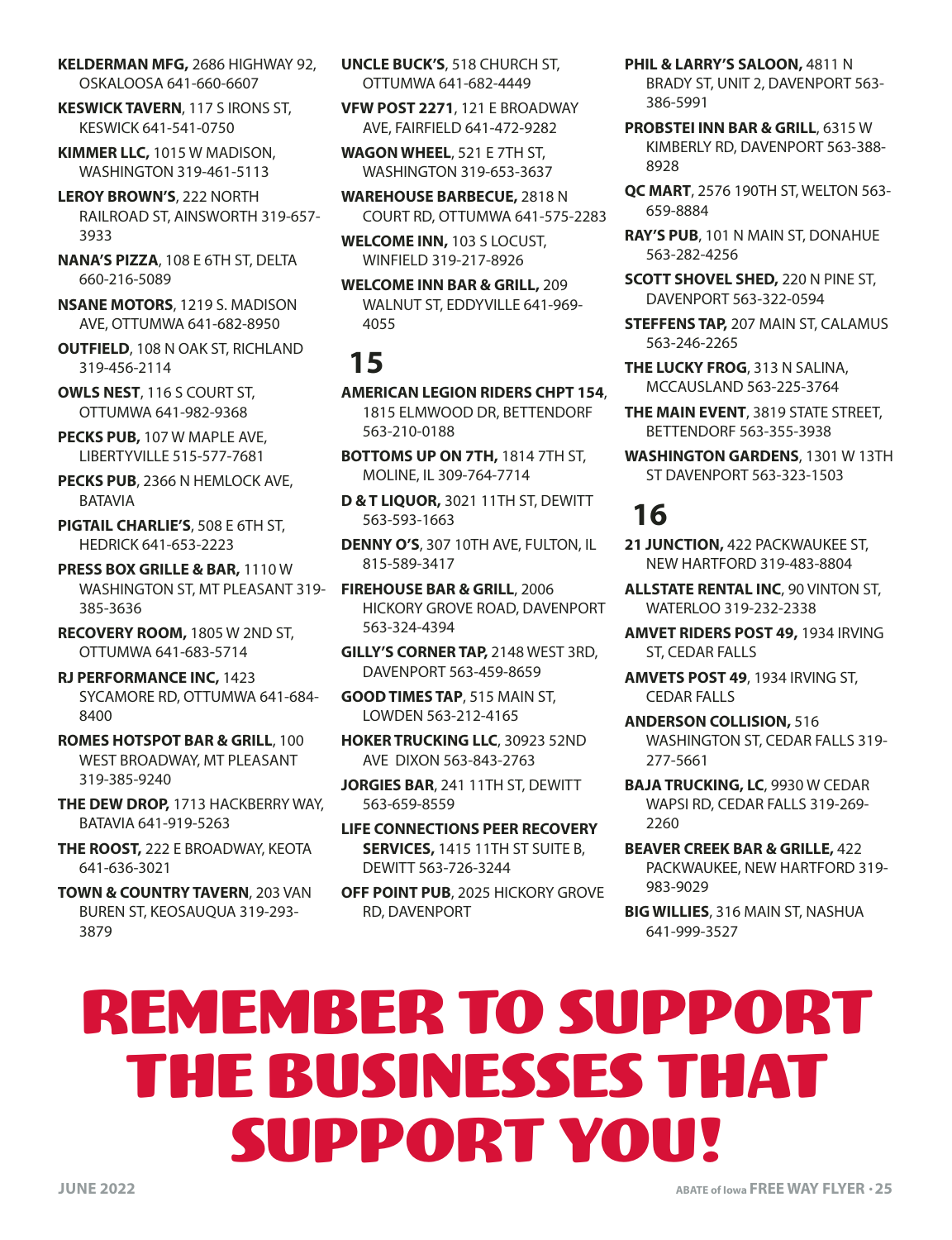**KELDERMAN MFG,** 2686 HIGHWAY 92, OSKALOOSA 641-660-6607

**KESWICK TAVERN**, 117 S IRONS ST, KESWICK 641-541-0750

**KIMMER LLC,** 1015 W MADISON, WASHINGTON 319-461-5113

**LEROY BROWN'S**, 222 NORTH RAILROAD ST, AINSWORTH 319-657- 3933

**NANA'S PIZZA**, 108 E 6TH ST, DELTA 660-216-5089

**NSANE MOTORS**, 1219 S. MADISON AVE, OTTUMWA 641-682-8950

**OUTFIELD**, 108 N OAK ST, RICHLAND 319-456-2114

**OWLS NEST**, 116 S COURT ST, OTTUMWA 641-982-9368

**PECKS PUB,** 107 W MAPLE AVE, LIBERTYVILLE 515-577-7681

**PECKS PUB**, 2366 N HEMLOCK AVE, BATAVIA

**PIGTAIL CHARLIE'S**, 508 E 6TH ST, HEDRICK 641-653-2223

**PRESS BOX GRILLE & BAR,** 1110 W WASHINGTON ST, MT PLEASANT 319- 385-3636

**RECOVERY ROOM,** 1805 W 2ND ST, OTTUMWA 641-683-5714

**RJ PERFORMANCE INC,** 1423 SYCAMORE RD, OTTUMWA 641-684- 8400

**ROMES HOTSPOT BAR & GRILL**, 100 WEST BROADWAY, MT PLEASANT 319-385-9240

**THE DEW DROP,** 1713 HACKBERRY WAY, BATAVIA 641-919-5263

**THE ROOST,** 222 E BROADWAY, KEOTA 641-636-3021

**TOWN & COUNTRY TAVERN**, 203 VAN BUREN ST, KEOSAUQUA 319-293- 3879

**UNCLE BUCK'S**, 518 CHURCH ST, OTTUMWA 641-682-4449

**VFW POST 2271**, 121 E BROADWAY AVE, FAIRFIELD 641-472-9282

**WAGON WHEEL**, 521 E 7TH ST, WASHINGTON 319-653-3637

**WAREHOUSE BARBECUE,** 2818 N COURT RD, OTTUMWA 641-575-2283

**WELCOME INN,** 103 S LOCUST, WINFIELD 319-217-8926

**WELCOME INN BAR & GRILL,** 209 WALNUT ST, EDDYVILLE 641-969- 4055

# **15**

**AMERICAN LEGION RIDERS CHPT 154**, 1815 ELMWOOD DR, BETTENDORF 563-210-0188

**BOTTOMS UP ON 7TH,** 1814 7TH ST, MOLINE, IL 309-764-7714

**D & T LIQUOR,** 3021 11TH ST, DEWITT 563-593-1663

**DENNY O'S**, 307 10TH AVE, FULTON, IL 815-589-3417

**FIREHOUSE BAR & GRILL**, 2006 HICKORY GROVE ROAD, DAVENPORT 563-324-4394

**GILLY'S CORNER TAP,** 2148 WEST 3RD, DAVENPORT 563-459-8659

**GOOD TIMES TAP**, 515 MAIN ST, LOWDEN 563-212-4165

**HOKER TRUCKING LLC**, 30923 52ND AVE DIXON 563-843-2763

**JORGIES BAR**, 241 11TH ST, DEWITT 563-659-8559

**LIFE CONNECTIONS PEER RECOVERY SERVICES,** 1415 11TH ST SUITE B, DEWITT 563-726-3244

**OFF POINT PUB**, 2025 HICKORY GROVE RD, DAVENPORT

**PHIL & LARRY'S SALOON,** 4811 N BRADY ST, UNIT 2, DAVENPORT 563- 386-5991

**PROBSTEI INN BAR & GRILL**, 6315 W KIMBERLY RD, DAVENPORT 563-388- 8928

- **QC MART**, 2576 190TH ST, WELTON 563- 659-8884
- **RAY'S PUB**, 101 N MAIN ST, DONAHUE 563-282-4256
- **SCOTT SHOVEL SHED,** 220 N PINE ST, DAVENPORT 563-322-0594

**STEFFENS TAP,** 207 MAIN ST, CALAMUS 563-246-2265

**THE LUCKY FROG**, 313 N SALINA, MCCAUSLAND 563-225-3764

- **THE MAIN EVENT**, 3819 STATE STREET, BETTENDORF 563-355-3938
- **WASHINGTON GARDENS**, 1301 W 13TH ST DAVENPORT 563-323-1503

# **16**

- **21 JUNCTION,** 422 PACKWAUKEE ST, NEW HARTFORD 319-483-8804
- **ALLSTATE RENTAL INC**, 90 VINTON ST, WATERLOO 319-232-2338
- **AMVET RIDERS POST 49,** 1934 IRVING ST, CEDAR FALLS
- **AMVETS POST 49**, 1934 IRVING ST, CEDAR FALLS
- **ANDERSON COLLISION,** 516 WASHINGTON ST, CEDAR FALLS 319- 277-5661
- **BAJA TRUCKING, LC**, 9930 W CEDAR WAPSI RD, CEDAR FALLS 319-269- 2260
- **BEAVER CREEK BAR & GRILLE,** 422 PACKWAUKEE, NEW HARTFORD 319- 983-9029
- **BIG WILLIES**, 316 MAIN ST, NASHUA 641-999-3527

# REMEMBER TO SUPPORT THE BUSINESSES THAT SUPPORT YOU!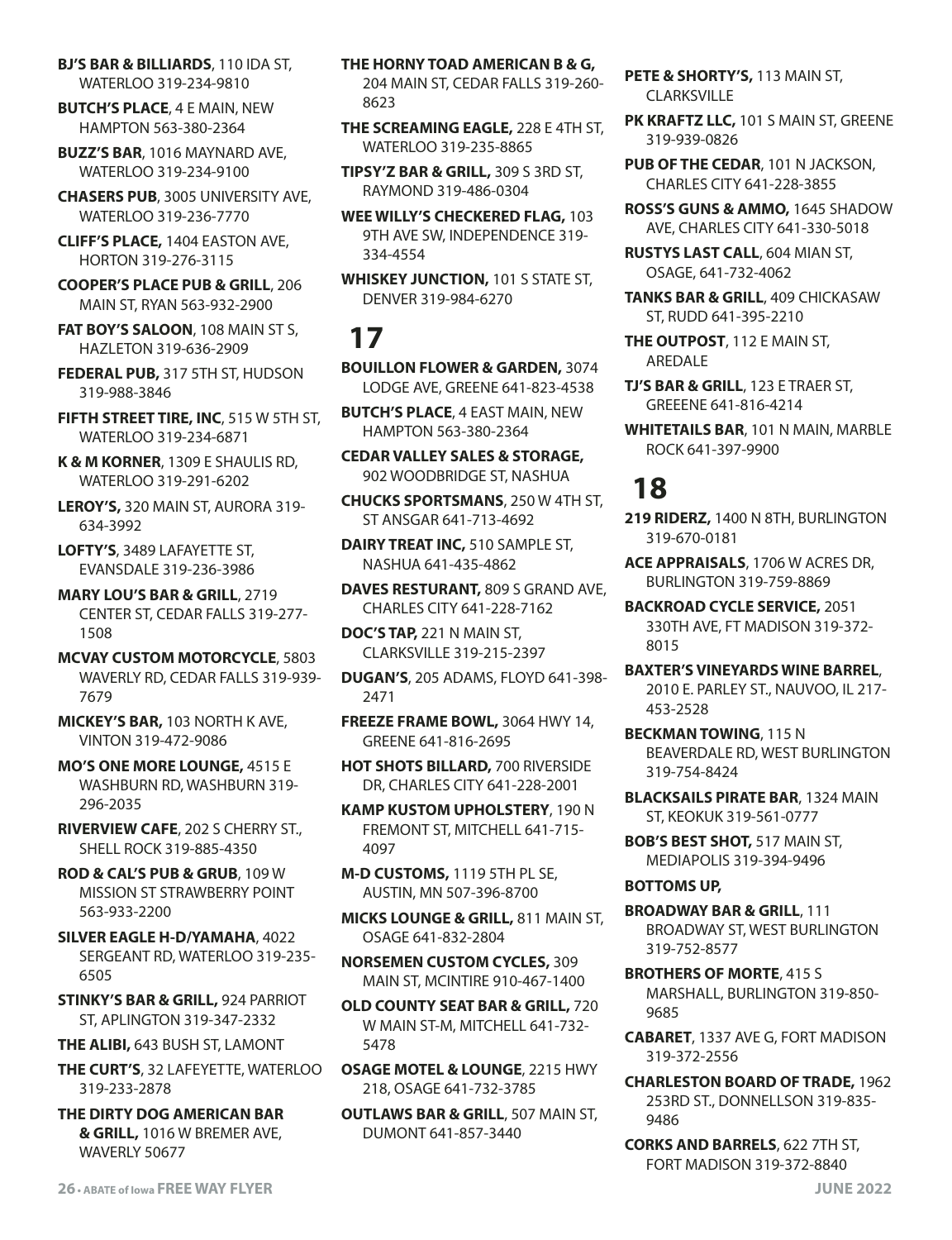**BJ'S BAR & BILLIARDS**, 110 IDA ST, WATERLOO 319-234-9810

**BUTCH'S PLACE**, 4 E MAIN, NEW HAMPTON 563-380-2364

**BUZZ'S BAR**, 1016 MAYNARD AVE, WATERLOO 319-234-9100

**CHASERS PUB**, 3005 UNIVERSITY AVE, WATERLOO 319-236-7770

**CLIFF'S PLACE,** 1404 EASTON AVE, HORTON 319-276-3115

**COOPER'S PLACE PUB & GRILL**, 206 MAIN ST, RYAN 563-932-2900

**FAT BOY'S SALOON**, 108 MAIN ST S, HAZLETON 319-636-2909

**FEDERAL PUB,** 317 5TH ST, HUDSON 319-988-3846

**FIFTH STREET TIRE, INC**, 515 W 5TH ST, WATERLOO 319-234-6871

**K & M KORNER**, 1309 E SHAULIS RD, WATERLOO 319-291-6202

**LEROY'S,** 320 MAIN ST, AURORA 319- 634-3992

**LOFTY'S**, 3489 LAFAYETTE ST, EVANSDALE 319-236-3986

**MARY LOU'S BAR & GRILL**, 2719 CENTER ST, CEDAR FALLS 319-277- 1508

**MCVAY CUSTOM MOTORCYCLE**, 5803 WAVERLY RD, CEDAR FALLS 319-939- 7679

**MICKEY'S BAR,** 103 NORTH K AVE, VINTON 319-472-9086

**MO'S ONE MORE LOUNGE,** 4515 E WASHBURN RD, WASHBURN 319- 296-2035

**RIVERVIEW CAFE**, 202 S CHERRY ST., SHELL ROCK 319-885-4350

**ROD & CAL'S PUB & GRUB**, 109 W MISSION ST STRAWBERRY POINT 563-933-2200

**SILVER EAGLE H-D/YAMAHA**, 4022 SERGEANT RD, WATERLOO 319-235- 6505

**STINKY'S BAR & GRILL,** 924 PARRIOT ST, APLINGTON 319-347-2332

**THE ALIBI,** 643 BUSH ST, LAMONT

**THE CURT'S**, 32 LAFEYETTE, WATERLOO 319-233-2878

**THE DIRTY DOG AMERICAN BAR & GRILL,** 1016 W BREMER AVE, WAVERLY 50677

**THE SCREAMING EAGLE,** 228 E 4TH ST, WATERLOO 319-235-8865

**TIPSY'Z BAR & GRILL,** 309 S 3RD ST, RAYMOND 319-486-0304

**WEE WILLY'S CHECKERED FLAG,** 103 9TH AVE SW, INDEPENDENCE 319- 334-4554

**WHISKEY JUNCTION,** 101 S STATE ST, DENVER 319-984-6270

### **17**

**BOUILLON FLOWER & GARDEN,** 3074 LODGE AVE, GREENE 641-823-4538

**BUTCH'S PLACE**, 4 EAST MAIN, NEW HAMPTON 563-380-2364

**CEDAR VALLEY SALES & STORAGE,** 902 WOODBRIDGE ST, NASHUA

**CHUCKS SPORTSMANS**, 250 W 4TH ST, ST ANSGAR 641-713-4692

**DAIRY TREAT INC,** 510 SAMPLE ST, NASHUA 641-435-4862

**DAVES RESTURANT,** 809 S GRAND AVE, CHARLES CITY 641-228-7162

**DOC'S TAP,** 221 N MAIN ST, CLARKSVILLE 319-215-2397

**DUGAN'S**, 205 ADAMS, FLOYD 641-398- 2471

**FREEZE FRAME BOWL,** 3064 HWY 14, GREENE 641-816-2695

**HOT SHOTS BILLARD,** 700 RIVERSIDE DR, CHARLES CITY 641-228-2001

**KAMP KUSTOM UPHOLSTERY**, 190 N FREMONT ST, MITCHELL 641-715- 4097

**M-D CUSTOMS,** 1119 5TH PL SE, AUSTIN, MN 507-396-8700

**MICKS LOUNGE & GRILL,** 811 MAIN ST, OSAGE 641-832-2804

**NORSEMEN CUSTOM CYCLES,** 309 MAIN ST, MCINTIRE 910-467-1400

**OLD COUNTY SEAT BAR & GRILL,** 720 W MAIN ST-M, MITCHELL 641-732- 5478

**OSAGE MOTEL & LOUNGE**, 2215 HWY 218, OSAGE 641-732-3785

**OUTLAWS BAR & GRILL**, 507 MAIN ST, DUMONT 641-857-3440

**PETE & SHORTY'S,** 113 MAIN ST, CLARKSVILLE

**PK KRAFTZ LLC,** 101 S MAIN ST, GREENE 319-939-0826

**PUB OF THE CEDAR**, 101 N JACKSON, CHARLES CITY 641-228-3855

**ROSS'S GUNS & AMMO,** 1645 SHADOW AVE, CHARLES CITY 641-330-5018

**RUSTYS LAST CALL**, 604 MIAN ST, OSAGE, 641-732-4062

**TANKS BAR & GRILL**, 409 CHICKASAW ST, RUDD 641-395-2210

**THE OUTPOST**, 112 E MAIN ST, AREDALE

**TJ'S BAR & GRILL**, 123 E TRAER ST, GREEENE 641-816-4214

**WHITETAILS BAR**, 101 N MAIN, MARBLE ROCK 641-397-9900

# **18**

**219 RIDERZ,** 1400 N 8TH, BURLINGTON 319-670-0181

**ACE APPRAISALS**, 1706 W ACRES DR, BURLINGTON 319-759-8869

**BACKROAD CYCLE SERVICE,** 2051 330TH AVE, FT MADISON 319-372- 8015

**BAXTER'S VINEYARDS WINE BARREL**, 2010 E. PARLEY ST., NAUVOO, IL 217- 453-2528

**BECKMAN TOWING**, 115 N BEAVERDALE RD, WEST BURLINGTON 319-754-8424

**BLACKSAILS PIRATE BAR**, 1324 MAIN ST, KEOKUK 319-561-0777

**BOB'S BEST SHOT,** 517 MAIN ST, MEDIAPOLIS 319-394-9496

#### **BOTTOMS UP,**

**BROADWAY BAR & GRILL**, 111 BROADWAY ST, WEST BURLINGTON 319-752-8577

**BROTHERS OF MORTE**, 415 S MARSHALL, BURLINGTON 319-850- 9685

**CABARET**, 1337 AVE G, FORT MADISON 319-372-2556

**CHARLESTON BOARD OF TRADE,** 1962 253RD ST., DONNELLSON 319-835- 9486

**CORKS AND BARRELS**, 622 7TH ST, FORT MADISON 319-372-8840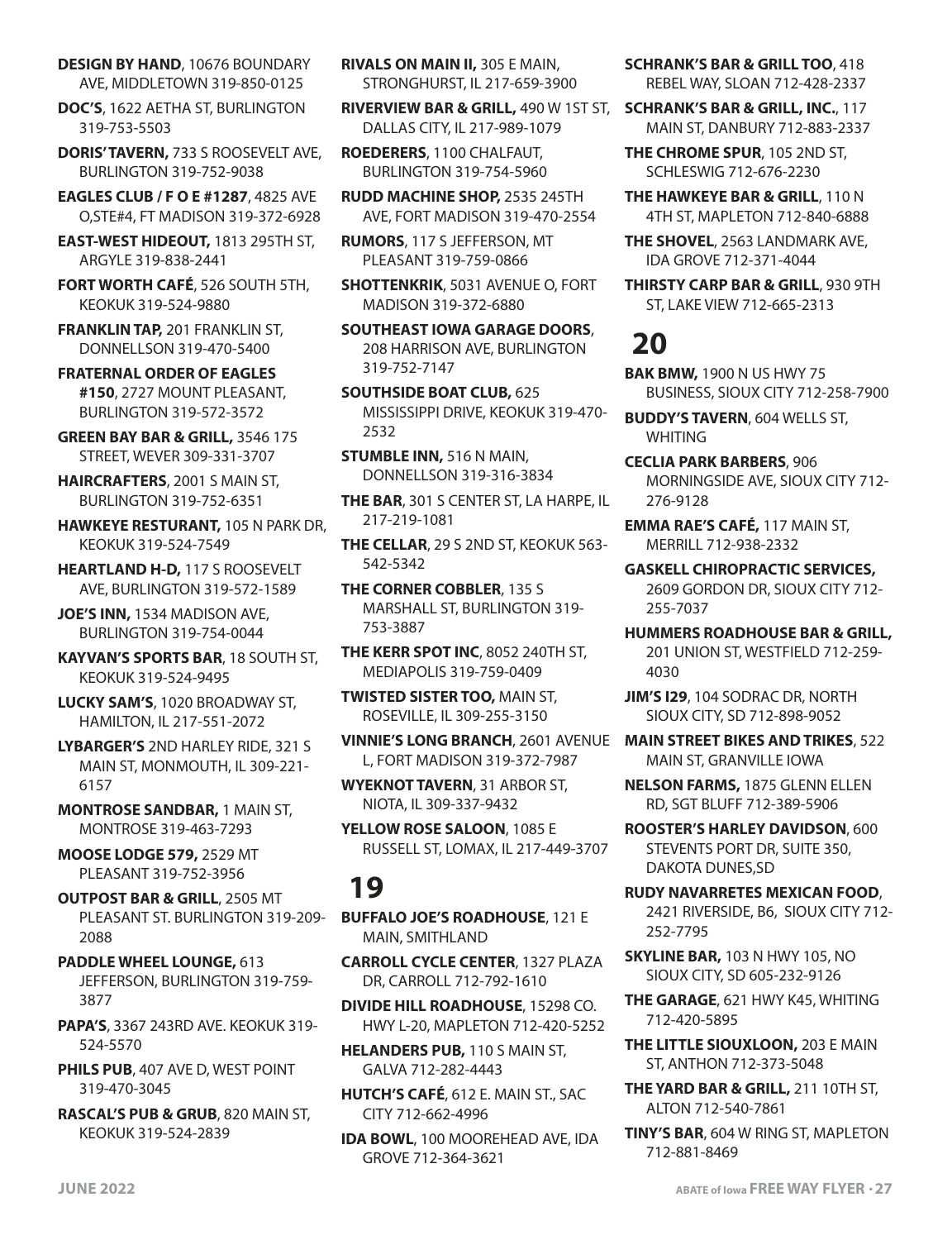**DESIGN BY HAND**, 10676 BOUNDARY AVE, MIDDLETOWN 319-850-0125

**DOC'S**, 1622 AETHA ST, BURLINGTON 319-753-5503

**DORIS' TAVERN,** 733 S ROOSEVELT AVE, BURLINGTON 319-752-9038

**EAGLES CLUB / F O E #1287**, 4825 AVE O,STE#4, FT MADISON 319-372-6928

**EAST-WEST HIDEOUT,** 1813 295TH ST, ARGYLE 319-838-2441

**FORT WORTH CAFÉ**, 526 SOUTH 5TH, KEOKUK 319-524-9880

**FRANKLIN TAP,** 201 FRANKLIN ST, DONNELLSON 319-470-5400

**FRATERNAL ORDER OF EAGLES #150**, 2727 MOUNT PLEASANT, BURLINGTON 319-572-3572

**GREEN BAY BAR & GRILL,** 3546 175 STREET, WEVER 309-331-3707

**HAIRCRAFTERS**, 2001 S MAIN ST, BURLINGTON 319-752-6351

**HAWKEYE RESTURANT,** 105 N PARK DR, KEOKUK 319-524-7549

**HEARTLAND H-D,** 117 S ROOSEVELT AVE, BURLINGTON 319-572-1589

**JOE'S INN,** 1534 MADISON AVE, BURLINGTON 319-754-0044

**KAYVAN'S SPORTS BAR**, 18 SOUTH ST, KEOKUK 319-524-9495

**LUCKY SAM'S**, 1020 BROADWAY ST, HAMILTON, IL 217-551-2072

**LYBARGER'S** 2ND HARLEY RIDE, 321 S MAIN ST, MONMOUTH, IL 309-221- 6157

**MONTROSE SANDBAR,** 1 MAIN ST, MONTROSE 319-463-7293

**MOOSE LODGE 579,** 2529 MT PLEASANT 319-752-3956

**OUTPOST BAR & GRILL**, 2505 MT PLEASANT ST. BURLINGTON 319-209- 2088

**PADDLE WHEEL LOUNGE,** 613 JEFFERSON, BURLINGTON 319-759- 3877

**PAPA'S**, 3367 243RD AVE. KEOKUK 319- 524-5570

**PHILS PUB**, 407 AVE D, WEST POINT 319-470-3045

**RASCAL'S PUB & GRUB**, 820 MAIN ST, KEOKUK 319-524-2839

**RIVALS ON MAIN II,** 305 E MAIN, STRONGHURST, IL 217-659-3900

**RIVERVIEW BAR & GRILL,** 490 W 1ST ST, DALLAS CITY, IL 217-989-1079

**ROEDERERS**, 1100 CHALFAUT, BURLINGTON 319-754-5960

**RUDD MACHINE SHOP,** 2535 245TH AVE, FORT MADISON 319-470-2554

**RUMORS**, 117 S JEFFERSON, MT PLEASANT 319-759-0866

**SHOTTENKRIK**, 5031 AVENUE O, FORT MADISON 319-372-6880

**SOUTHEAST IOWA GARAGE DOORS**, 208 HARRISON AVE, BURLINGTON 319-752-7147

**SOUTHSIDE BOAT CLUB,** 625 MISSISSIPPI DRIVE, KEOKUK 319-470- 2532

**STUMBLE INN,** 516 N MAIN, DONNELLSON 319-316-3834

**THE BAR**, 301 S CENTER ST, LA HARPE, IL 217-219-1081

**THE CELLAR**, 29 S 2ND ST, KEOKUK 563- 542-5342

**THE CORNER COBBLER**, 135 S MARSHALL ST, BURLINGTON 319- 753-3887

**THE KERR SPOT INC**, 8052 240TH ST, MEDIAPOLIS 319-759-0409

**TWISTED SISTER TOO,** MAIN ST, ROSEVILLE, IL 309-255-3150

**VINNIE'S LONG BRANCH**, 2601 AVENUE L, FORT MADISON 319-372-7987

**WYEKNOT TAVERN**, 31 ARBOR ST, NIOTA, IL 309-337-9432

**YELLOW ROSE SALOON**, 1085 E RUSSELL ST, LOMAX, IL 217-449-3707

### **19**

**BUFFALO JOE'S ROADHOUSE**, 121 E MAIN, SMITHLAND

**CARROLL CYCLE CENTER**, 1327 PLAZA DR, CARROLL 712-792-1610

**DIVIDE HILL ROADHOUSE**, 15298 CO. HWY L-20, MAPLETON 712-420-5252

**HELANDERS PUB,** 110 S MAIN ST, GALVA 712-282-4443

**HUTCH'S CAFÉ**, 612 E. MAIN ST., SAC CITY 712-662-4996

**IDA BOWL**, 100 MOOREHEAD AVE, IDA GROVE 712-364-3621

**SCHRANK'S BAR & GRILL TOO**, 418 REBEL WAY, SLOAN 712-428-2337

**SCHRANK'S BAR & GRILL, INC.**, 117 MAIN ST, DANBURY 712-883-2337

**THE CHROME SPUR**, 105 2ND ST, SCHLESWIG 712-676-2230

**THE HAWKEYE BAR & GRILL**, 110 N 4TH ST, MAPLETON 712-840-6888

**THE SHOVEL**, 2563 LANDMARK AVE, IDA GROVE 712-371-4044

**THIRSTY CARP BAR & GRILL**, 930 9TH ST, LAKE VIEW 712-665-2313

### **20**

**BAK BMW,** 1900 N US HWY 75 BUSINESS, SIOUX CITY 712-258-7900

**BUDDY'S TAVERN**, 604 WELLS ST, **WHITING** 

**CECLIA PARK BARBERS**, 906 MORNINGSIDE AVE, SIOUX CITY 712- 276-9128

**EMMA RAE'S CAFÉ,** 117 MAIN ST, MERRILL 712-938-2332

**GASKELL CHIROPRACTIC SERVICES,**  2609 GORDON DR, SIOUX CITY 712- 255-7037

**HUMMERS ROADHOUSE BAR & GRILL,** 201 UNION ST, WESTFIELD 712-259- 4030

**JIM'S I29**, 104 SODRAC DR, NORTH SIOUX CITY, SD 712-898-9052

**MAIN STREET BIKES AND TRIKES**, 522 MAIN ST, GRANVILLE IOWA

**NELSON FARMS,** 1875 GLENN ELLEN RD, SGT BLUFF 712-389-5906

**ROOSTER'S HARLEY DAVIDSON**, 600 STEVENTS PORT DR, SUITE 350, DAKOTA DUNES,SD

**RUDY NAVARRETES MEXICAN FOOD**, 2421 RIVERSIDE, B6, SIOUX CITY 712- 252-7795

**SKYLINE BAR,** 103 N HWY 105, NO SIOUX CITY, SD 605-232-9126

**THE GARAGE**, 621 HWY K45, WHITING 712-420-5895

**THE LITTLE SIOUXLOON,** 203 E MAIN ST, ANTHON 712-373-5048

- **THE YARD BAR & GRILL,** 211 10TH ST, ALTON 712-540-7861
- **TINY'S BAR**, 604 W RING ST, MAPLETON 712-881-8469